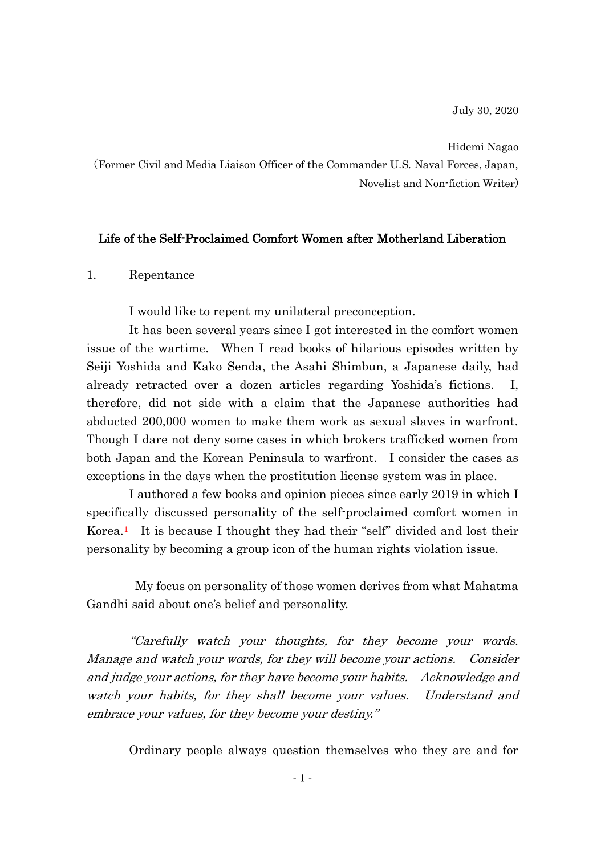Hidemi Nagao

(Former Civil and Media Liaison Officer of the Commander U.S. Naval Forces, Japan, Novelist and Non-fiction Writer)

## Life of the Self-Proclaimed Comfort Women after Motherland Liberation

#### 1. Repentance

I would like to repent my unilateral preconception.

It has been several years since I got interested in the comfort women issue of the wartime. When I read books of hilarious episodes written by Seiji Yoshida and Kako Senda, the Asahi Shimbun, a Japanese daily, had already retracted over a dozen articles regarding Yoshida's fictions. I, therefore, did not side with a claim that the Japanese authorities had abducted 200,000 women to make them work as sexual slaves in warfront. Though I dare not deny some cases in which brokers trafficked women from both Japan and the Korean Peninsula to warfront. I consider the cases as exceptions in the days when the prostitution license system was in place.

I authored a few books and opinion pieces since early 2019 in which I specifically discussed personality of the self-proclaimed comfort women in Korea.<sup>1</sup> It is because I thought they had their "self" divided and lost their personality by becoming a group icon of the human rights violation issue.

My focus on personality of those women derives from what Mahatma Gandhi said about one's belief and personality.

"Carefully watch your thoughts, for they become your words. Manage and watch your words, for they will become your actions. Consider and judge your actions, for they have become your habits. Acknowledge and watch your habits, for they shall become your values. Understand and embrace your values, for they become your destiny."

Ordinary people always question themselves who they are and for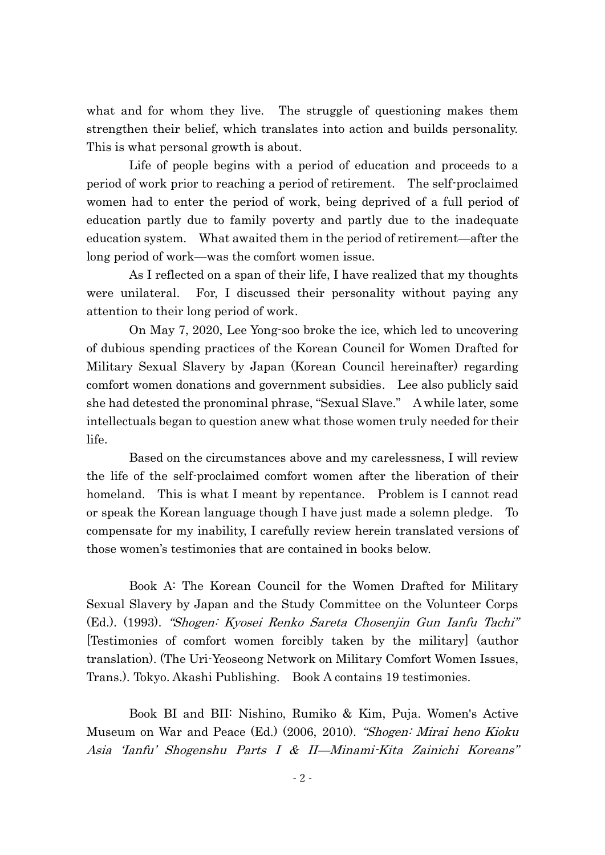what and for whom they live. The struggle of questioning makes them strengthen their belief, which translates into action and builds personality. This is what personal growth is about.

Life of people begins with a period of education and proceeds to a period of work prior to reaching a period of retirement. The self-proclaimed women had to enter the period of work, being deprived of a full period of education partly due to family poverty and partly due to the inadequate education system. What awaited them in the period of retirement—after the long period of work—was the comfort women issue.

As I reflected on a span of their life, I have realized that my thoughts were unilateral. For, I discussed their personality without paying any attention to their long period of work.

On May 7, 2020, Lee Yong-soo broke the ice, which led to uncovering of dubious spending practices of the Korean Council for Women Drafted for Military Sexual Slavery by Japan (Korean Council hereinafter) regarding comfort women donations and government subsidies. Lee also publicly said she had detested the pronominal phrase, "Sexual Slave." A while later, some intellectuals began to question anew what those women truly needed for their life.

Based on the circumstances above and my carelessness, I will review the life of the self-proclaimed comfort women after the liberation of their homeland. This is what I meant by repentance. Problem is I cannot read or speak the Korean language though I have just made a solemn pledge. To compensate for my inability, I carefully review herein translated versions of those women's testimonies that are contained in books below.

Book A: The Korean Council for the Women Drafted for Military Sexual Slavery by Japan and the Study Committee on the Volunteer Corps (Ed.). (1993). "Shogen: Kyosei Renko Sareta Chosenjin Gun Ianfu Tachi" [Testimonies of comfort women forcibly taken by the military] (author translation). (The Uri-Yeoseong Network on Military Comfort Women Issues, Trans.). Tokyo. Akashi Publishing. Book A contains 19 testimonies.

Book BI and BII: Nishino, Rumiko & Kim, Puja. Women's Active Museum on War and Peace (Ed.) (2006, 2010). "Shogen: Mirai heno Kioku Asia 'Ianfu' Shogenshu Parts I & II—Minami-Kita Zainichi Koreans"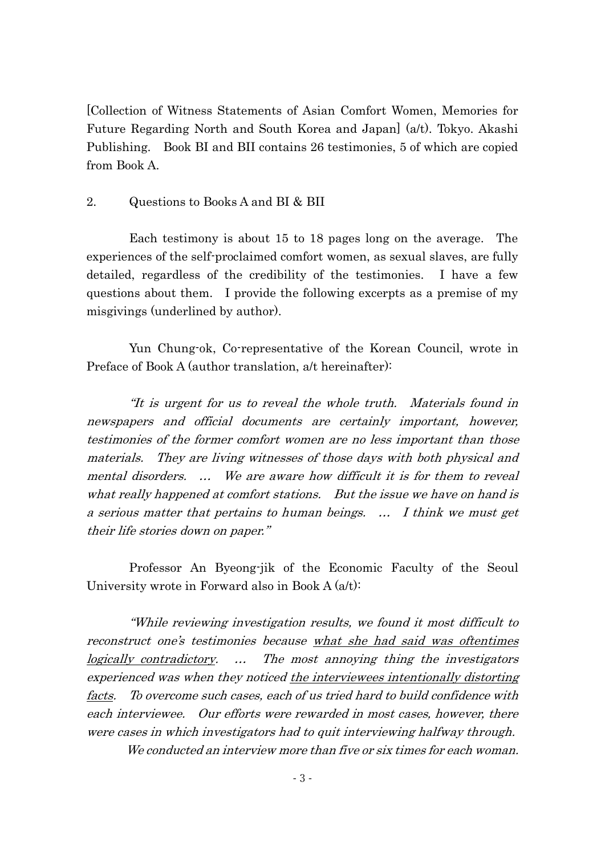[Collection of Witness Statements of Asian Comfort Women, Memories for Future Regarding North and South Korea and Japan] (a/t). Tokyo. Akashi Publishing. Book BI and BII contains 26 testimonies, 5 of which are copied from Book A.

## 2. Questions to Books A and BI & BII

Each testimony is about 15 to 18 pages long on the average. The experiences of the self-proclaimed comfort women, as sexual slaves, are fully detailed, regardless of the credibility of the testimonies. I have a few questions about them. I provide the following excerpts as a premise of my misgivings (underlined by author).

Yun Chung-ok, Co-representative of the Korean Council, wrote in Preface of Book A (author translation, a/t hereinafter):

"It is urgent for us to reveal the whole truth. Materials found in newspapers and official documents are certainly important, however, testimonies of the former comfort women are no less important than those materials. They are living witnesses of those days with both physical and mental disorders. … We are aware how difficult it is for them to reveal what really happened at comfort stations. But the issue we have on hand is a serious matter that pertains to human beings. … I think we must get their life stories down on paper."

Professor An Byeong-jik of the Economic Faculty of the Seoul University wrote in Forward also in Book A (a/t):

"While reviewing investigation results, we found it most difficult to reconstruct one's testimonies because what she had said was oftentimes logically contradictory. … The most annoying thing the investigators experienced was when they noticed the interviewees intentionally distorting facts. To overcome such cases, each of us tried hard to build confidence with each interviewee. Our efforts were rewarded in most cases, however, there were cases in which investigators had to quit interviewing halfway through.

We conducted an interview more than five or six times for each woman.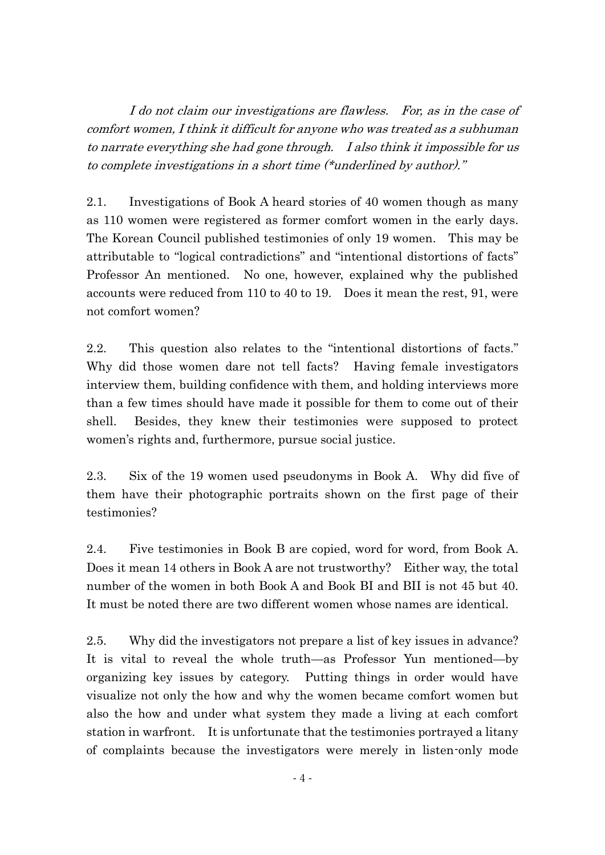I do not claim our investigations are flawless. For, as in the case of comfort women, I think it difficult for anyone who was treated as a subhuman to narrate everything she had gone through. I also think it impossible for us to complete investigations in a short time (\*underlined by author)."

2.1. Investigations of Book A heard stories of 40 women though as many as 110 women were registered as former comfort women in the early days. The Korean Council published testimonies of only 19 women. This may be attributable to "logical contradictions" and "intentional distortions of facts" Professor An mentioned. No one, however, explained why the published accounts were reduced from 110 to 40 to 19. Does it mean the rest, 91, were not comfort women?

2.2. This question also relates to the "intentional distortions of facts." Why did those women dare not tell facts? Having female investigators interview them, building confidence with them, and holding interviews more than a few times should have made it possible for them to come out of their shell. Besides, they knew their testimonies were supposed to protect women's rights and, furthermore, pursue social justice.

2.3. Six of the 19 women used pseudonyms in Book A. Why did five of them have their photographic portraits shown on the first page of their testimonies?

2.4. Five testimonies in Book B are copied, word for word, from Book A. Does it mean 14 others in Book A are not trustworthy? Either way, the total number of the women in both Book A and Book BI and BII is not 45 but 40. It must be noted there are two different women whose names are identical.

2.5. Why did the investigators not prepare a list of key issues in advance? It is vital to reveal the whole truth—as Professor Yun mentioned—by organizing key issues by category. Putting things in order would have visualize not only the how and why the women became comfort women but also the how and under what system they made a living at each comfort station in warfront. It is unfortunate that the testimonies portrayed a litany of complaints because the investigators were merely in listen-only mode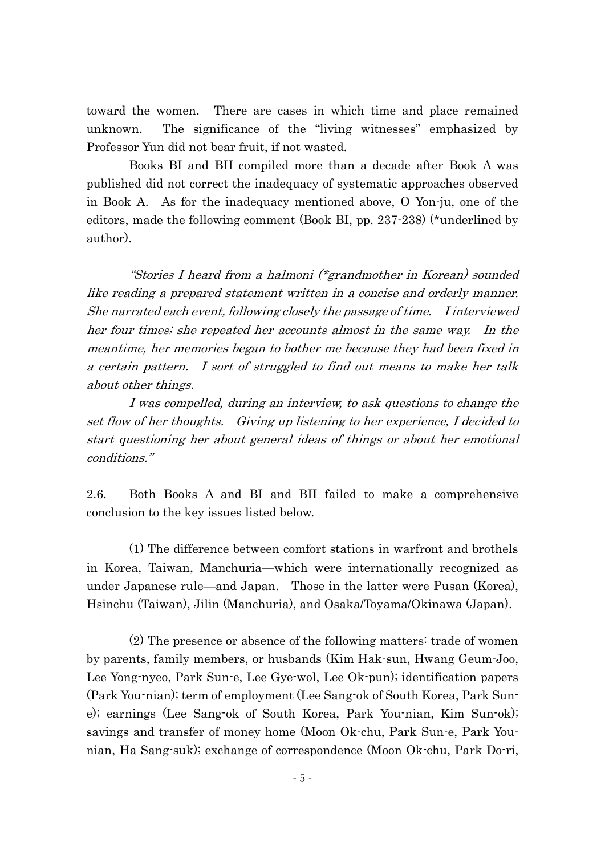toward the women. There are cases in which time and place remained unknown. The significance of the "living witnesses" emphasized by Professor Yun did not bear fruit, if not wasted.

Books BI and BII compiled more than a decade after Book A was published did not correct the inadequacy of systematic approaches observed in Book A. As for the inadequacy mentioned above, O Yon-ju, one of the editors, made the following comment (Book BI, pp. 237-238) (\*underlined by author).

"Stories I heard from a halmoni (\*grandmother in Korean) sounded like reading a prepared statement written in a concise and orderly manner. She narrated each event, following closely the passage of time. I interviewed her four times; she repeated her accounts almost in the same way. In the meantime, her memories began to bother me because they had been fixed in a certain pattern. I sort of struggled to find out means to make her talk about other things.

I was compelled, during an interview, to ask questions to change the set flow of her thoughts. Giving up listening to her experience, I decided to start questioning her about general ideas of things or about her emotional conditions."

2.6. Both Books A and BI and BII failed to make a comprehensive conclusion to the key issues listed below.

(1) The difference between comfort stations in warfront and brothels in Korea, Taiwan, Manchuria—which were internationally recognized as under Japanese rule—and Japan. Those in the latter were Pusan (Korea), Hsinchu (Taiwan), Jilin (Manchuria), and Osaka/Toyama/Okinawa (Japan).

(2) The presence or absence of the following matters: trade of women by parents, family members, or husbands (Kim Hak-sun, Hwang Geum-Joo, Lee Yong-nyeo, Park Sun-e, Lee Gye-wol, Lee Ok-pun); identification papers (Park You-nian); term of employment (Lee Sang-ok of South Korea, Park Sune); earnings (Lee Sang-ok of South Korea, Park You-nian, Kim Sun-ok); savings and transfer of money home (Moon Ok-chu, Park Sun-e, Park Younian, Ha Sang-suk); exchange of correspondence (Moon Ok-chu, Park Do-ri,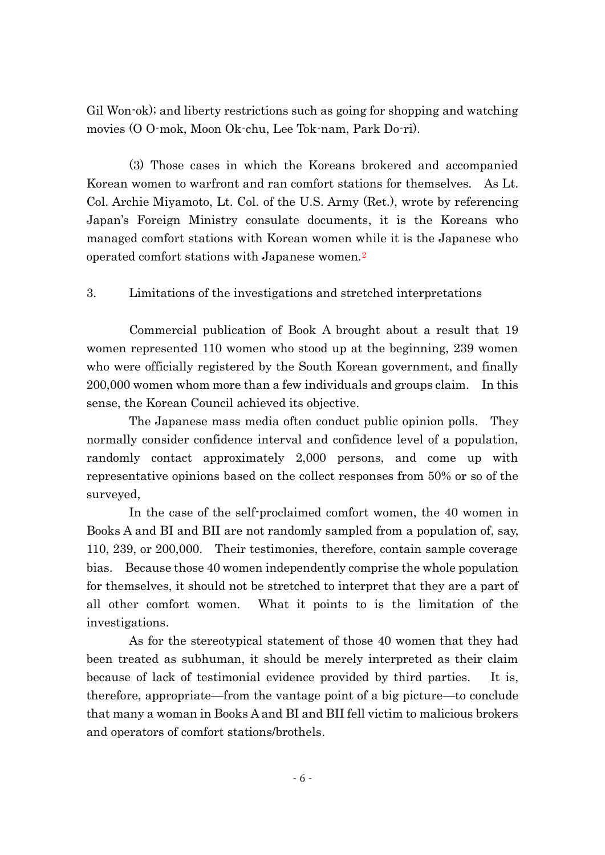Gil Won-ok); and liberty restrictions such as going for shopping and watching movies (O O-mok, Moon Ok-chu, Lee Tok-nam, Park Do-ri).

(3) Those cases in which the Koreans brokered and accompanied Korean women to warfront and ran comfort stations for themselves. As Lt. Col. Archie Miyamoto, Lt. Col. of the U.S. Army (Ret.), wrote by referencing Japan's Foreign Ministry consulate documents, it is the Koreans who managed comfort stations with Korean women while it is the Japanese who operated comfort stations with Japanese women.<sup>2</sup>

# 3. Limitations of the investigations and stretched interpretations

Commercial publication of Book A brought about a result that 19 women represented 110 women who stood up at the beginning, 239 women who were officially registered by the South Korean government, and finally 200,000 women whom more than a few individuals and groups claim. In this sense, the Korean Council achieved its objective.

The Japanese mass media often conduct public opinion polls. They normally consider confidence interval and confidence level of a population, randomly contact approximately 2,000 persons, and come up with representative opinions based on the collect responses from 50% or so of the surveyed,

In the case of the self-proclaimed comfort women, the 40 women in Books A and BI and BII are not randomly sampled from a population of, say, 110, 239, or 200,000. Their testimonies, therefore, contain sample coverage bias. Because those 40 women independently comprise the whole population for themselves, it should not be stretched to interpret that they are a part of all other comfort women. What it points to is the limitation of the investigations.

As for the stereotypical statement of those 40 women that they had been treated as subhuman, it should be merely interpreted as their claim because of lack of testimonial evidence provided by third parties. It is, therefore, appropriate—from the vantage point of a big picture—to conclude that many a woman in Books A and BI and BII fell victim to malicious brokers and operators of comfort stations/brothels.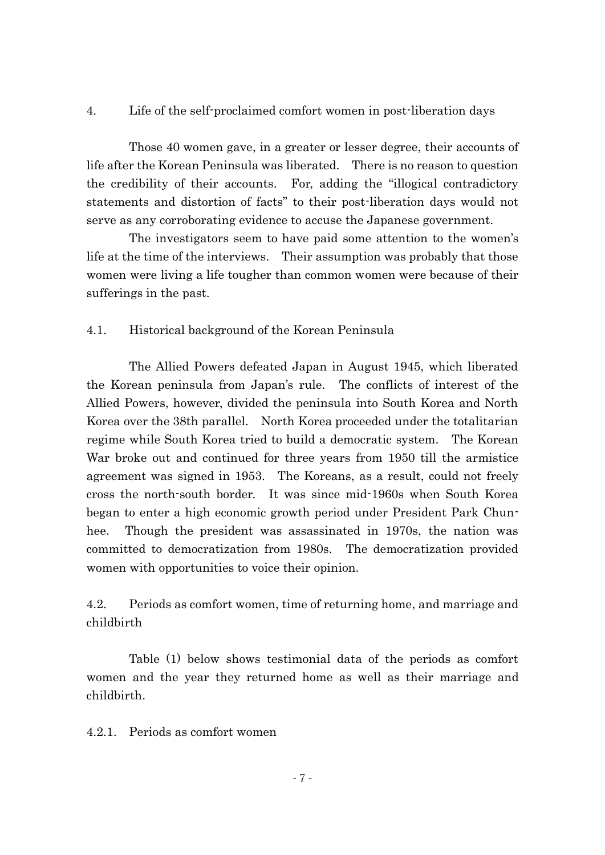# 4. Life of the self-proclaimed comfort women in post-liberation days

Those 40 women gave, in a greater or lesser degree, their accounts of life after the Korean Peninsula was liberated. There is no reason to question the credibility of their accounts. For, adding the "illogical contradictory statements and distortion of facts" to their post-liberation days would not serve as any corroborating evidence to accuse the Japanese government.

The investigators seem to have paid some attention to the women's life at the time of the interviews. Their assumption was probably that those women were living a life tougher than common women were because of their sufferings in the past.

# 4.1. Historical background of the Korean Peninsula

The Allied Powers defeated Japan in August 1945, which liberated the Korean peninsula from Japan's rule. The conflicts of interest of the Allied Powers, however, divided the peninsula into South Korea and North Korea over the 38th parallel. North Korea proceeded under the totalitarian regime while South Korea tried to build a democratic system. The Korean War broke out and continued for three years from 1950 till the armistice agreement was signed in 1953. The Koreans, as a result, could not freely cross the north-south border. It was since mid-1960s when South Korea began to enter a high economic growth period under President Park Chunhee. Though the president was assassinated in 1970s, the nation was committed to democratization from 1980s. The democratization provided women with opportunities to voice their opinion.

4.2. Periods as comfort women, time of returning home, and marriage and childbirth

Table (1) below shows testimonial data of the periods as comfort women and the year they returned home as well as their marriage and childbirth.

4.2.1. Periods as comfort women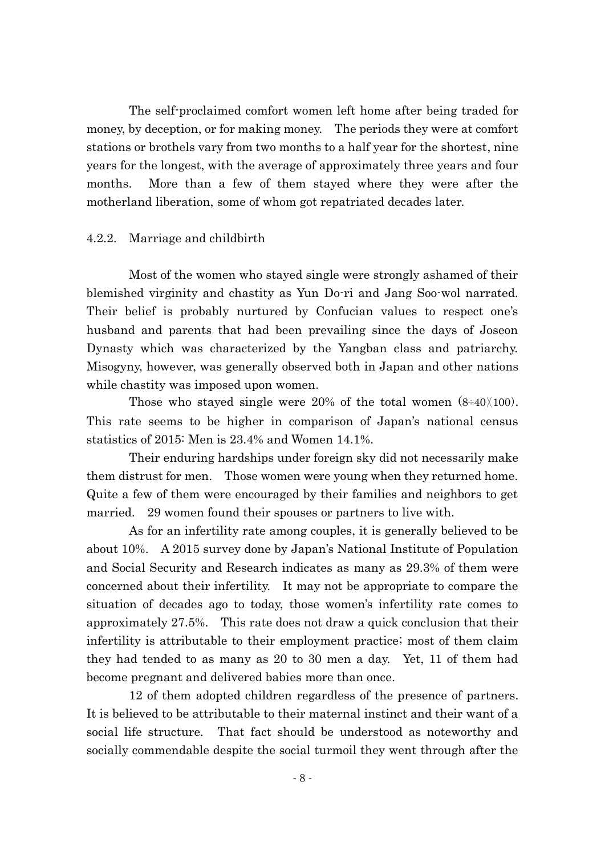The self-proclaimed comfort women left home after being traded for money, by deception, or for making money. The periods they were at comfort stations or brothels vary from two months to a half year for the shortest, nine years for the longest, with the average of approximately three years and four months. More than a few of them stayed where they were after the motherland liberation, some of whom got repatriated decades later.

## 4.2.2. Marriage and childbirth

Most of the women who stayed single were strongly ashamed of their blemished virginity and chastity as Yun Do-ri and Jang Soo-wol narrated. Their belief is probably nurtured by Confucian values to respect one's husband and parents that had been prevailing since the days of Joseon Dynasty which was characterized by the Yangban class and patriarchy. Misogyny, however, was generally observed both in Japan and other nations while chastity was imposed upon women.

Those who stayed single were 20% of the total women  $(8\div 40)(100)$ . This rate seems to be higher in comparison of Japan's national census statistics of 2015: Men is 23.4% and Women 14.1%.

Their enduring hardships under foreign sky did not necessarily make them distrust for men. Those women were young when they returned home. Quite a few of them were encouraged by their families and neighbors to get married. 29 women found their spouses or partners to live with.

As for an infertility rate among couples, it is generally believed to be about 10%. A 2015 survey done by Japan's National Institute of Population and Social Security and Research indicates as many as 29.3% of them were concerned about their infertility. It may not be appropriate to compare the situation of decades ago to today, those women's infertility rate comes to approximately 27.5%. This rate does not draw a quick conclusion that their infertility is attributable to their employment practice; most of them claim they had tended to as many as 20 to 30 men a day. Yet, 11 of them had become pregnant and delivered babies more than once.

12 of them adopted children regardless of the presence of partners. It is believed to be attributable to their maternal instinct and their want of a social life structure. That fact should be understood as noteworthy and socially commendable despite the social turmoil they went through after the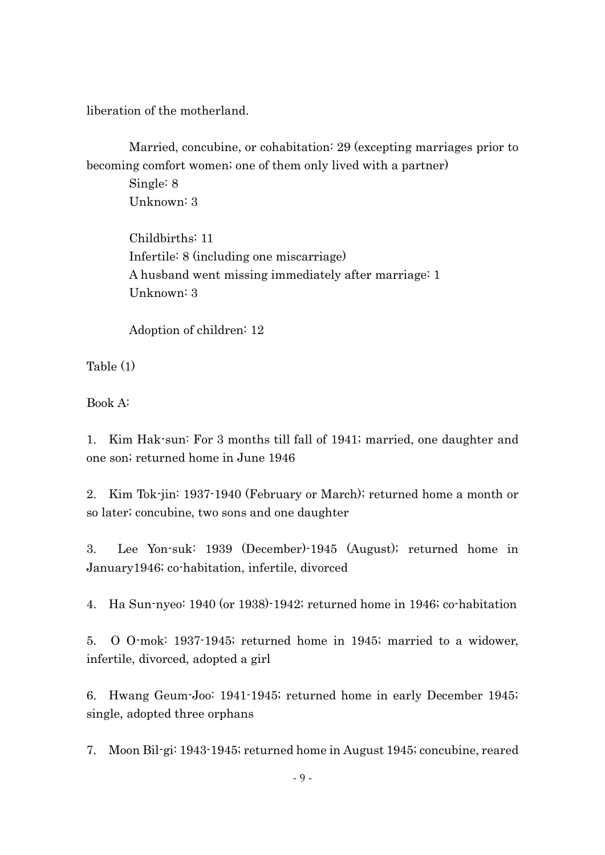liberation of the motherland.

Married, concubine, or cohabitation: 29 (excepting marriages prior to becoming comfort women; one of them only lived with a partner)

Single: 8 Unknown: 3

Childbirths: 11 Infertile: 8 (including one miscarriage) A husband went missing immediately after marriage: 1 Unknown: 3

Adoption of children: 12

Table (1)

Book A:

1. Kim Hak-sun: For 3 months till fall of 1941; married, one daughter and one son; returned home in June 1946

2. Kim Tok-jin: 1937-1940 (February or March); returned home a month or so later; concubine, two sons and one daughter

3. Lee Yon-suk: 1939 (December)-1945 (August); returned home in January1946; co-habitation, infertile, divorced

4. Ha Sun-nyeo: 1940 (or 1938)-1942; returned home in 1946; co-habitation

5. O O-mok: 1937-1945; returned home in 1945; married to a widower, infertile, divorced, adopted a girl

6. Hwang Geum-Joo: 1941-1945; returned home in early December 1945; single, adopted three orphans

7. Moon Bil-gi: 1943-1945; returned home in August 1945; concubine, reared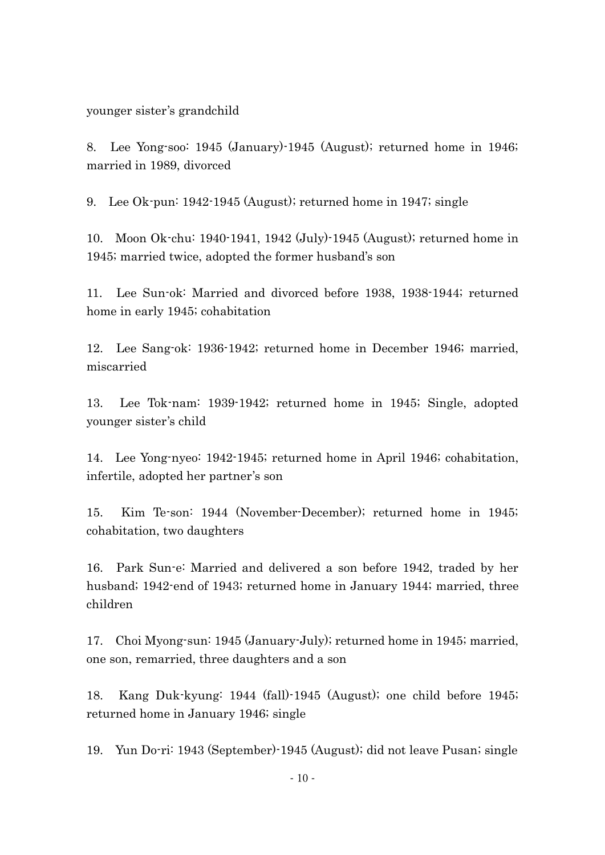younger sister's grandchild

8. Lee Yong-soo: 1945 (January)-1945 (August); returned home in 1946; married in 1989, divorced

9. Lee Ok-pun: 1942-1945 (August); returned home in 1947; single

10. Moon Ok-chu: 1940-1941, 1942 (July)-1945 (August); returned home in 1945; married twice, adopted the former husband's son

11. Lee Sun-ok: Married and divorced before 1938, 1938-1944; returned home in early 1945; cohabitation

12. Lee Sang-ok: 1936-1942; returned home in December 1946; married, miscarried

13. Lee Tok-nam: 1939-1942; returned home in 1945; Single, adopted younger sister's child

14. Lee Yong-nyeo: 1942-1945; returned home in April 1946; cohabitation, infertile, adopted her partner's son

15. Kim Te-son: 1944 (November-December); returned home in 1945; cohabitation, two daughters

16. Park Sun-e: Married and delivered a son before 1942, traded by her husband; 1942-end of 1943; returned home in January 1944; married, three children

17. Choi Myong-sun: 1945 (January-July); returned home in 1945; married, one son, remarried, three daughters and a son

18. Kang Duk-kyung: 1944 (fall)-1945 (August); one child before 1945; returned home in January 1946; single

19. Yun Do-ri: 1943 (September)-1945 (August); did not leave Pusan; single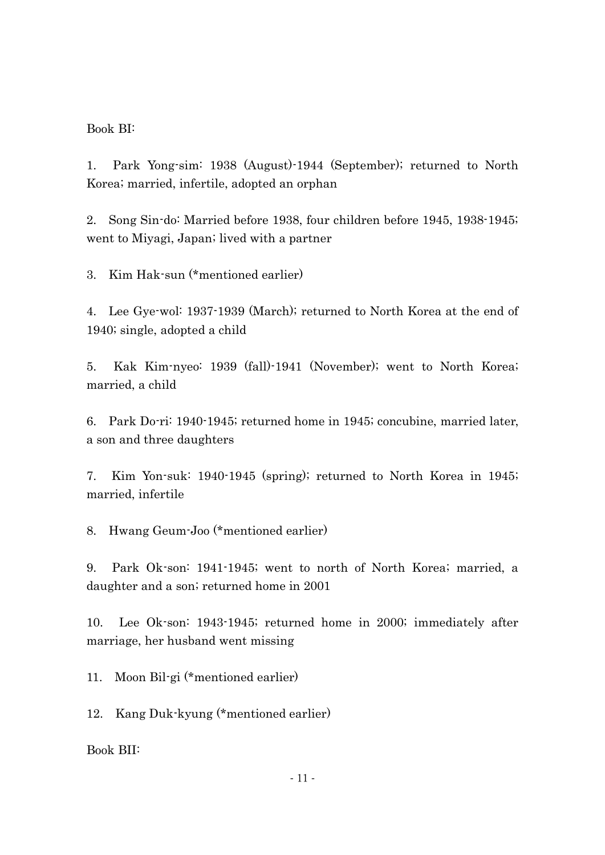Book BI:

1. Park Yong-sim: 1938 (August)-1944 (September); returned to North Korea; married, infertile, adopted an orphan

2. Song Sin-do: Married before 1938, four children before 1945, 1938-1945; went to Miyagi, Japan; lived with a partner

3. Kim Hak-sun (\*mentioned earlier)

4. Lee Gye-wol: 1937-1939 (March); returned to North Korea at the end of 1940; single, adopted a child

5. Kak Kim-nyeo: 1939 (fall)-1941 (November); went to North Korea; married, a child

6. Park Do-ri: 1940-1945; returned home in 1945; concubine, married later, a son and three daughters

7. Kim Yon-suk: 1940-1945 (spring); returned to North Korea in 1945; married, infertile

8. Hwang Geum-Joo (\*mentioned earlier)

9. Park Ok-son: 1941-1945; went to north of North Korea; married, a daughter and a son; returned home in 2001

10. Lee Ok-son: 1943-1945; returned home in 2000; immediately after marriage, her husband went missing

11. Moon Bil-gi (\*mentioned earlier)

12. Kang Duk-kyung (\*mentioned earlier)

Book BII: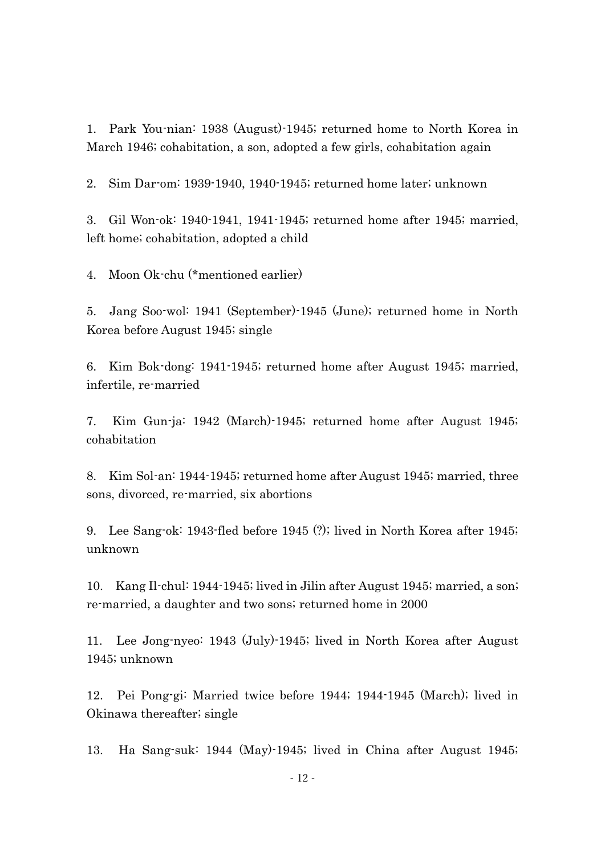1. Park You-nian: 1938 (August)-1945; returned home to North Korea in March 1946; cohabitation, a son, adopted a few girls, cohabitation again

2. Sim Dar-om: 1939-1940, 1940-1945; returned home later; unknown

3. Gil Won-ok: 1940-1941, 1941-1945; returned home after 1945; married, left home; cohabitation, adopted a child

4. Moon Ok-chu (\*mentioned earlier)

5. Jang Soo-wol: 1941 (September)-1945 (June); returned home in North Korea before August 1945; single

6. Kim Bok-dong: 1941-1945; returned home after August 1945; married, infertile, re-married

7. Kim Gun-ja: 1942 (March)-1945; returned home after August 1945; cohabitation

8. Kim Sol-an: 1944-1945; returned home after August 1945; married, three sons, divorced, re-married, six abortions

9. Lee Sang-ok: 1943-fled before 1945 (?); lived in North Korea after 1945; unknown

10. Kang Il-chul: 1944-1945; lived in Jilin after August 1945; married, a son; re-married, a daughter and two sons; returned home in 2000

11. Lee Jong-nyeo: 1943 (July)-1945; lived in North Korea after August 1945; unknown

12. Pei Pong-gi: Married twice before 1944; 1944-1945 (March); lived in Okinawa thereafter; single

13. Ha Sang-suk: 1944 (May)-1945; lived in China after August 1945;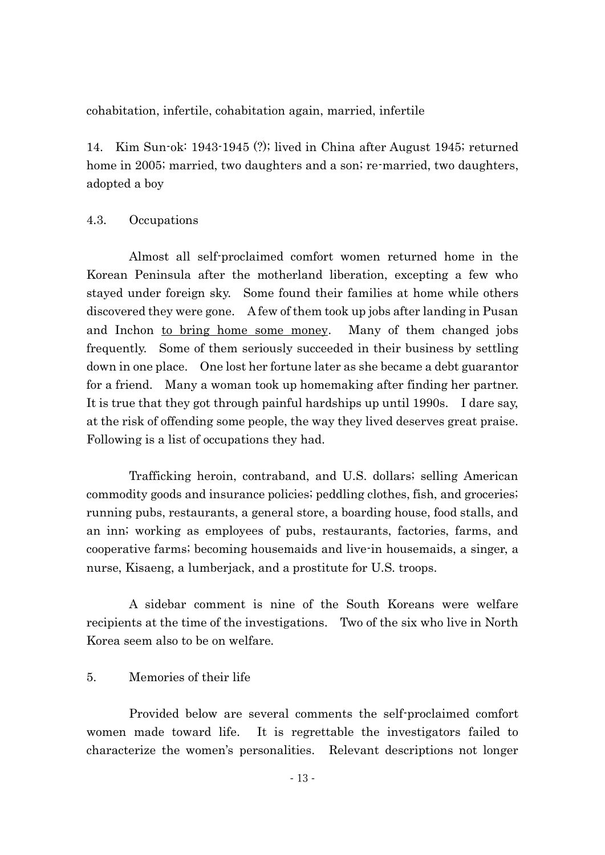cohabitation, infertile, cohabitation again, married, infertile

14. Kim Sun-ok: 1943-1945 (?); lived in China after August 1945; returned home in 2005; married, two daughters and a son; re-married, two daughters, adopted a boy

### 4.3. Occupations

Almost all self-proclaimed comfort women returned home in the Korean Peninsula after the motherland liberation, excepting a few who stayed under foreign sky. Some found their families at home while others discovered they were gone. A few of them took up jobs after landing in Pusan and Inchon to bring home some money. Many of them changed jobs frequently. Some of them seriously succeeded in their business by settling down in one place. One lost her fortune later as she became a debt guarantor for a friend. Many a woman took up homemaking after finding her partner. It is true that they got through painful hardships up until 1990s. I dare say, at the risk of offending some people, the way they lived deserves great praise. Following is a list of occupations they had.

Trafficking heroin, contraband, and U.S. dollars; selling American commodity goods and insurance policies; peddling clothes, fish, and groceries; running pubs, restaurants, a general store, a boarding house, food stalls, and an inn; working as employees of pubs, restaurants, factories, farms, and cooperative farms; becoming housemaids and live-in housemaids, a singer, a nurse, Kisaeng, a lumberjack, and a prostitute for U.S. troops.

A sidebar comment is nine of the South Koreans were welfare recipients at the time of the investigations. Two of the six who live in North Korea seem also to be on welfare.

### 5. Memories of their life

Provided below are several comments the self-proclaimed comfort women made toward life. It is regrettable the investigators failed to characterize the women's personalities. Relevant descriptions not longer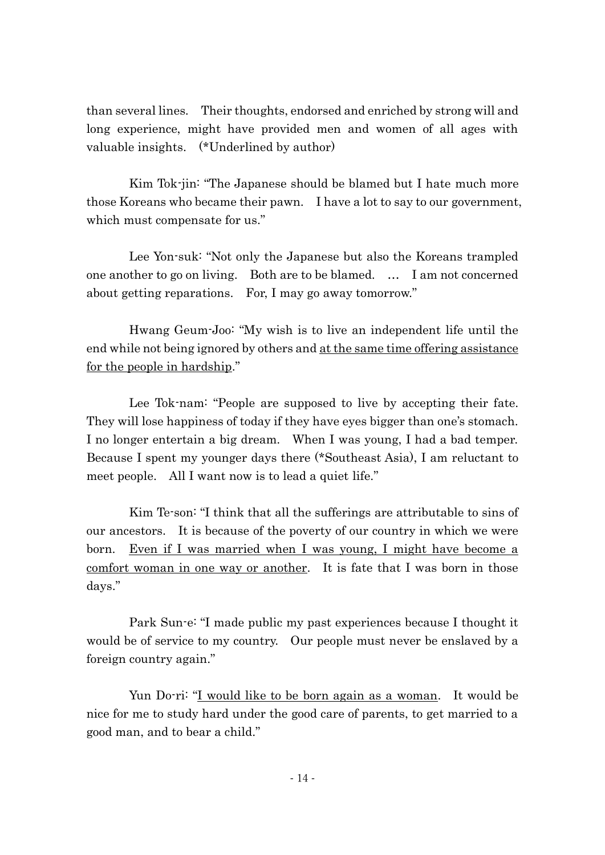than several lines. Their thoughts, endorsed and enriched by strong will and long experience, might have provided men and women of all ages with valuable insights. (\*Underlined by author)

Kim Tok-jin: "The Japanese should be blamed but I hate much more those Koreans who became their pawn. I have a lot to say to our government, which must compensate for us."

Lee Yon-suk: "Not only the Japanese but also the Koreans trampled one another to go on living. Both are to be blamed. … I am not concerned about getting reparations. For, I may go away tomorrow."

Hwang Geum-Joo: "My wish is to live an independent life until the end while not being ignored by others and at the same time offering assistance for the people in hardship."

Lee Tok-nam: "People are supposed to live by accepting their fate. They will lose happiness of today if they have eyes bigger than one's stomach. I no longer entertain a big dream. When I was young, I had a bad temper. Because I spent my younger days there (\*Southeast Asia), I am reluctant to meet people. All I want now is to lead a quiet life."

Kim Te-son: "I think that all the sufferings are attributable to sins of our ancestors. It is because of the poverty of our country in which we were born. Even if I was married when I was young, I might have become a comfort woman in one way or another. It is fate that I was born in those days."

Park Sun-e: "I made public my past experiences because I thought it would be of service to my country. Our people must never be enslaved by a foreign country again."

Yun Do-ri: "<u>I would like to be born again as a woman</u>. It would be nice for me to study hard under the good care of parents, to get married to a good man, and to bear a child."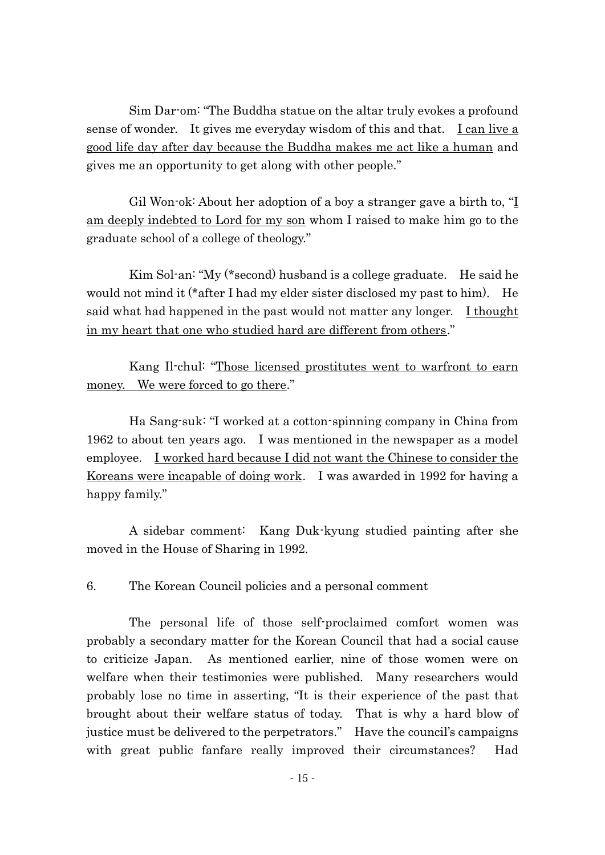Sim Dar-om: "The Buddha statue on the altar truly evokes a profound sense of wonder. It gives me everyday wisdom of this and that. Lean live a good life day after day because the Buddha makes me act like a human and gives me an opportunity to get along with other people."

Gil Won-ok: About her adoption of a boy a stranger gave a birth to, "I am deeply indebted to Lord for my son whom I raised to make him go to the graduate school of a college of theology."

Kim Sol-an: "My (\*second) husband is a college graduate. He said he would not mind it (\*after I had my elder sister disclosed my past to him). He said what had happened in the past would not matter any longer. I thought in my heart that one who studied hard are different from others."

Kang Il-chul: "Those licensed prostitutes went to warfront to earn money. We were forced to go there."

Ha Sang-suk: "I worked at a cotton-spinning company in China from 1962 to about ten years ago. I was mentioned in the newspaper as a model employee. I worked hard because I did not want the Chinese to consider the Koreans were incapable of doing work. I was awarded in 1992 for having a happy family."

A sidebar comment: Kang Duk-kyung studied painting after she moved in the House of Sharing in 1992.

6. The Korean Council policies and a personal comment

The personal life of those self-proclaimed comfort women was probably a secondary matter for the Korean Council that had a social cause to criticize Japan. As mentioned earlier, nine of those women were on welfare when their testimonies were published. Many researchers would probably lose no time in asserting, "It is their experience of the past that brought about their welfare status of today. That is why a hard blow of justice must be delivered to the perpetrators." Have the council's campaigns with great public fanfare really improved their circumstances? Had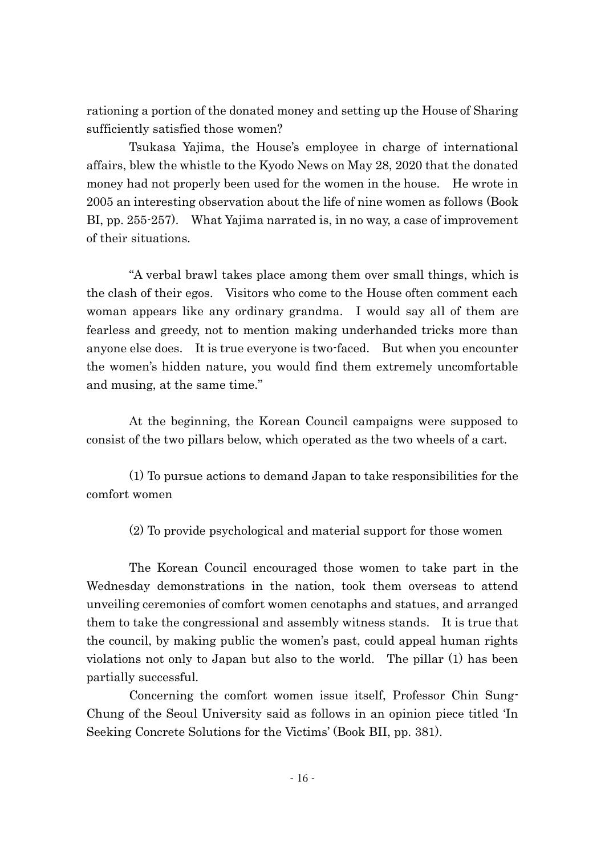rationing a portion of the donated money and setting up the House of Sharing sufficiently satisfied those women?

Tsukasa Yajima, the House's employee in charge of international affairs, blew the whistle to the Kyodo News on May 28, 2020 that the donated money had not properly been used for the women in the house. He wrote in 2005 an interesting observation about the life of nine women as follows (Book BI, pp. 255-257). What Yajima narrated is, in no way, a case of improvement of their situations.

"A verbal brawl takes place among them over small things, which is the clash of their egos. Visitors who come to the House often comment each woman appears like any ordinary grandma. I would say all of them are fearless and greedy, not to mention making underhanded tricks more than anyone else does. It is true everyone is two-faced. But when you encounter the women's hidden nature, you would find them extremely uncomfortable and musing, at the same time."

At the beginning, the Korean Council campaigns were supposed to consist of the two pillars below, which operated as the two wheels of a cart.

(1) To pursue actions to demand Japan to take responsibilities for the comfort women

(2) To provide psychological and material support for those women

The Korean Council encouraged those women to take part in the Wednesday demonstrations in the nation, took them overseas to attend unveiling ceremonies of comfort women cenotaphs and statues, and arranged them to take the congressional and assembly witness stands. It is true that the council, by making public the women's past, could appeal human rights violations not only to Japan but also to the world. The pillar (1) has been partially successful.

Concerning the comfort women issue itself, Professor Chin Sung-Chung of the Seoul University said as follows in an opinion piece titled 'In Seeking Concrete Solutions for the Victims' (Book BII, pp. 381).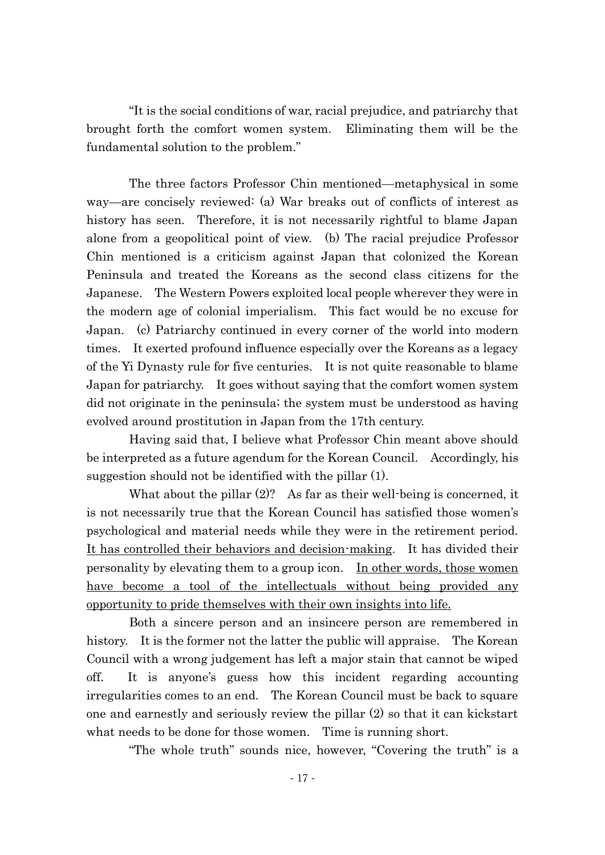"It is the social conditions of war, racial prejudice, and patriarchy that brought forth the comfort women system. Eliminating them will be the fundamental solution to the problem."

The three factors Professor Chin mentioned—metaphysical in some way—are concisely reviewed: (a) War breaks out of conflicts of interest as history has seen. Therefore, it is not necessarily rightful to blame Japan alone from a geopolitical point of view. (b) The racial prejudice Professor Chin mentioned is a criticism against Japan that colonized the Korean Peninsula and treated the Koreans as the second class citizens for the Japanese. The Western Powers exploited local people wherever they were in the modern age of colonial imperialism. This fact would be no excuse for Japan. (c) Patriarchy continued in every corner of the world into modern times. It exerted profound influence especially over the Koreans as a legacy of the Yi Dynasty rule for five centuries. It is not quite reasonable to blame Japan for patriarchy. It goes without saying that the comfort women system did not originate in the peninsula; the system must be understood as having evolved around prostitution in Japan from the 17th century.

Having said that, I believe what Professor Chin meant above should be interpreted as a future agendum for the Korean Council. Accordingly, his suggestion should not be identified with the pillar (1).

What about the pillar (2)? As far as their well-being is concerned, it is not necessarily true that the Korean Council has satisfied those women's psychological and material needs while they were in the retirement period. It has controlled their behaviors and decision-making. It has divided their personality by elevating them to a group icon. In other words, those women have become a tool of the intellectuals without being provided any opportunity to pride themselves with their own insights into life.

Both a sincere person and an insincere person are remembered in history. It is the former not the latter the public will appraise. The Korean Council with a wrong judgement has left a major stain that cannot be wiped off. It is anyone's guess how this incident regarding accounting irregularities comes to an end. The Korean Council must be back to square one and earnestly and seriously review the pillar (2) so that it can kickstart what needs to be done for those women. Time is running short.

"The whole truth" sounds nice, however, "Covering the truth" is a